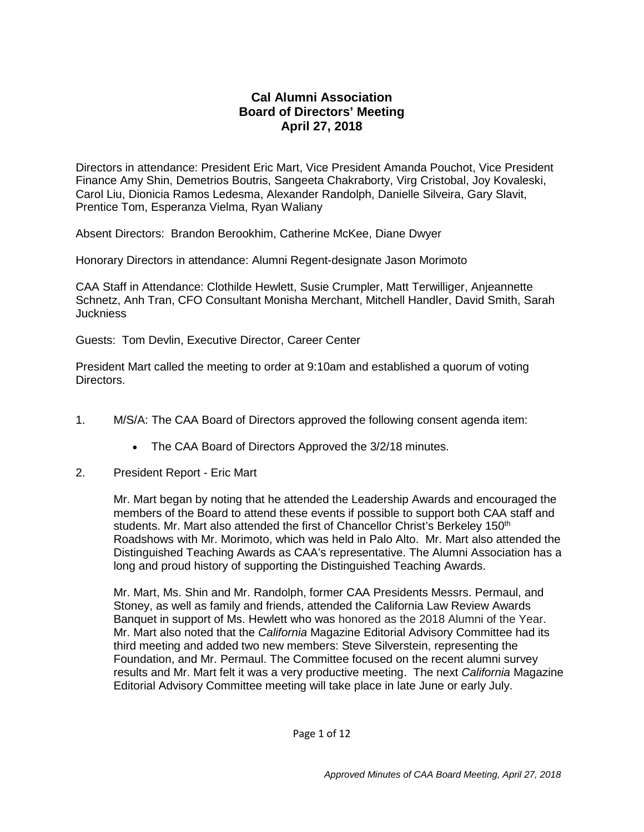## **Cal Alumni Association Board of Directors' Meeting April 27, 2018**

Directors in attendance: President Eric Mart, Vice President Amanda Pouchot, Vice President Finance Amy Shin, Demetrios Boutris, Sangeeta Chakraborty, Virg Cristobal, Joy Kovaleski, Carol Liu, Dionicia Ramos Ledesma, Alexander Randolph, Danielle Silveira, Gary Slavit, Prentice Tom, Esperanza Vielma, Ryan Waliany

Absent Directors: Brandon Berookhim, Catherine McKee, Diane Dwyer

Honorary Directors in attendance: Alumni Regent-designate Jason Morimoto

CAA Staff in Attendance: Clothilde Hewlett, Susie Crumpler, Matt Terwilliger, Anjeannette Schnetz, Anh Tran, CFO Consultant Monisha Merchant, Mitchell Handler, David Smith, Sarah Juckniess

Guests: Tom Devlin, Executive Director, Career Center

President Mart called the meeting to order at 9:10am and established a quorum of voting Directors.

- 1. M/S/A: The CAA Board of Directors approved the following consent agenda item:
	- The CAA Board of Directors Approved the 3/2/18 minutes.
- 2. President Report Eric Mart

Mr. Mart began by noting that he attended the Leadership Awards and encouraged the members of the Board to attend these events if possible to support both CAA staff and students. Mr. Mart also attended the first of Chancellor Christ's Berkeley 150<sup>th</sup> Roadshows with Mr. Morimoto, which was held in Palo Alto. Mr. Mart also attended the Distinguished Teaching Awards as CAA's representative. The Alumni Association has a long and proud history of supporting the Distinguished Teaching Awards.

Mr. Mart, Ms. Shin and Mr. Randolph, former CAA Presidents Messrs. Permaul, and Stoney, as well as family and friends, attended the California Law Review Awards Banquet in support of Ms. Hewlett who was honored as the 2018 Alumni of the Year. Mr. Mart also noted that the *California* Magazine Editorial Advisory Committee had its third meeting and added two new members: Steve Silverstein, representing the Foundation, and Mr. Permaul. The Committee focused on the recent alumni survey results and Mr. Mart felt it was a very productive meeting. The next *California* Magazine Editorial Advisory Committee meeting will take place in late June or early July.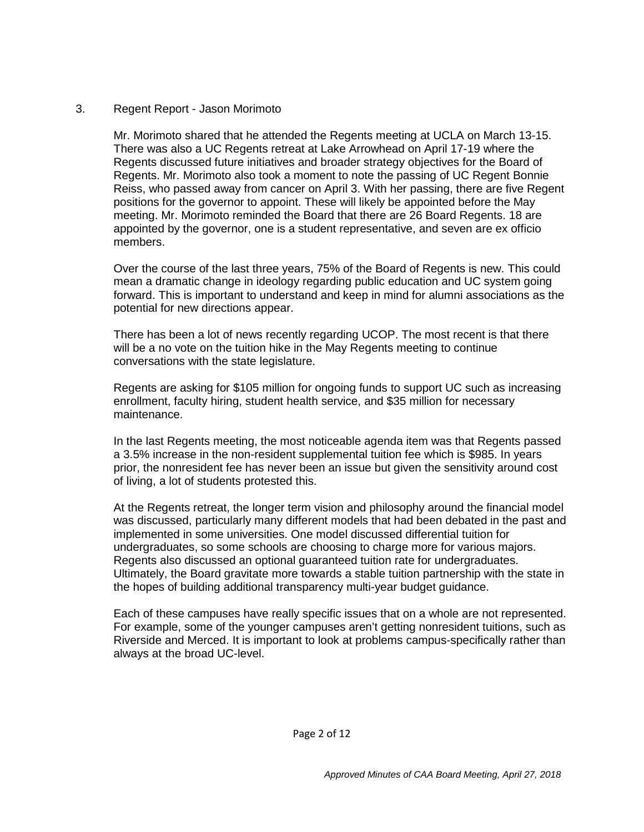## 3. Regent Report - Jason Morimoto

Mr. Morimoto shared that he attended the Regents meeting at UCLA on March 13-15. There was also a UC Regents retreat at Lake Arrowhead on April 17-19 where the Regents discussed future initiatives and broader strategy objectives for the Board of Regents. Mr. Morimoto also took a moment to note the passing of UC Regent Bonnie Reiss, who passed away from cancer on April 3. With her passing, there are five Regent positions for the governor to appoint. These will likely be appointed before the May meeting. Mr. Morimoto reminded the Board that there are 26 Board Regents. 18 are appointed by the governor, one is a student representative, and seven are ex officio members.

Over the course of the last three years, 75% of the Board of Regents is new. This could mean a dramatic change in ideology regarding public education and UC system going forward. This is important to understand and keep in mind for alumni associations as the potential for new directions appear.

There has been a lot of news recently regarding UCOP. The most recent is that there will be a no vote on the tuition hike in the May Regents meeting to continue conversations with the state legislature.

Regents are asking for \$105 million for ongoing funds to support UC such as increasing enrollment, faculty hiring, student health service, and \$35 million for necessary maintenance.

In the last Regents meeting, the most noticeable agenda item was that Regents passed a 3.5% increase in the non-resident supplemental tuition fee which is \$985. In years prior, the nonresident fee has never been an issue but given the sensitivity around cost of living, a lot of students protested this.

At the Regents retreat, the longer term vision and philosophy around the financial model was discussed, particularly many different models that had been debated in the past and implemented in some universities. One model discussed differential tuition for undergraduates, so some schools are choosing to charge more for various majors. Regents also discussed an optional guaranteed tuition rate for undergraduates. Ultimately, the Board gravitate more towards a stable tuition partnership with the state in the hopes of building additional transparency multi-year budget guidance.

Each of these campuses have really specific issues that on a whole are not represented. For example, some of the younger campuses aren't getting nonresident tuitions, such as Riverside and Merced. It is important to look at problems campus-specifically rather than always at the broad UC-level.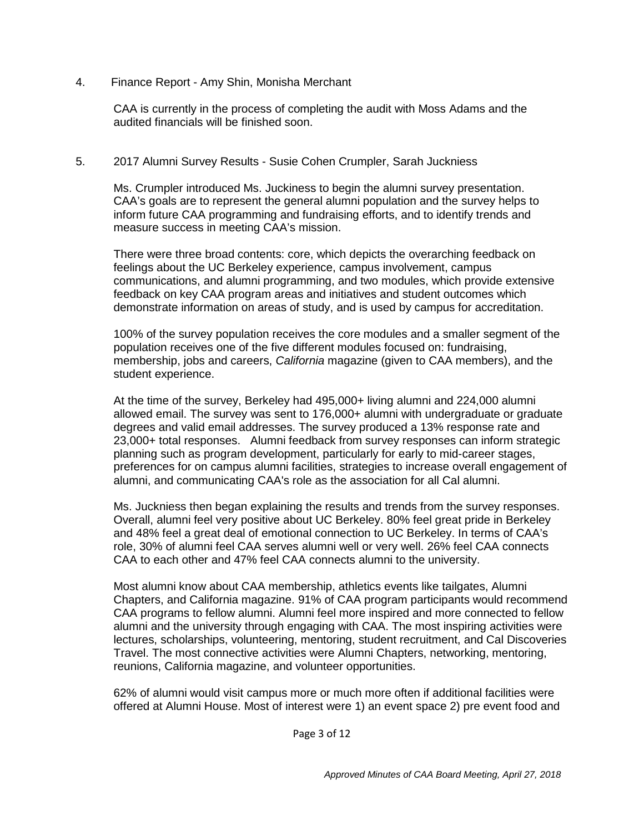4. Finance Report - Amy Shin, Monisha Merchant

CAA is currently in the process of completing the audit with Moss Adams and the audited financials will be finished soon.

## 5. 2017 Alumni Survey Results - Susie Cohen Crumpler, Sarah Juckniess

Ms. Crumpler introduced Ms. Juckiness to begin the alumni survey presentation. CAA's goals are to represent the general alumni population and the survey helps to inform future CAA programming and fundraising efforts, and to identify trends and measure success in meeting CAA's mission.

There were three broad contents: core, which depicts the overarching feedback on feelings about the UC Berkeley experience, campus involvement, campus communications, and alumni programming, and two modules, which provide extensive feedback on key CAA program areas and initiatives and student outcomes which demonstrate information on areas of study, and is used by campus for accreditation.

100% of the survey population receives the core modules and a smaller segment of the population receives one of the five different modules focused on: fundraising, membership, jobs and careers, *California* magazine (given to CAA members), and the student experience.

At the time of the survey, Berkeley had 495,000+ living alumni and 224,000 alumni allowed email. The survey was sent to 176,000+ alumni with undergraduate or graduate degrees and valid email addresses. The survey produced a 13% response rate and 23,000+ total responses. Alumni feedback from survey responses can inform strategic planning such as program development, particularly for early to mid-career stages, preferences for on campus alumni facilities, strategies to increase overall engagement of alumni, and communicating CAA's role as the association for all Cal alumni.

Ms. Juckniess then began explaining the results and trends from the survey responses. Overall, alumni feel very positive about UC Berkeley. 80% feel great pride in Berkeley and 48% feel a great deal of emotional connection to UC Berkeley. In terms of CAA's role, 30% of alumni feel CAA serves alumni well or very well. 26% feel CAA connects CAA to each other and 47% feel CAA connects alumni to the university.

Most alumni know about CAA membership, athletics events like tailgates, Alumni Chapters, and California magazine. 91% of CAA program participants would recommend CAA programs to fellow alumni. Alumni feel more inspired and more connected to fellow alumni and the university through engaging with CAA. The most inspiring activities were lectures, scholarships, volunteering, mentoring, student recruitment, and Cal Discoveries Travel. The most connective activities were Alumni Chapters, networking, mentoring, reunions, California magazine, and volunteer opportunities.

62% of alumni would visit campus more or much more often if additional facilities were offered at Alumni House. Most of interest were 1) an event space 2) pre event food and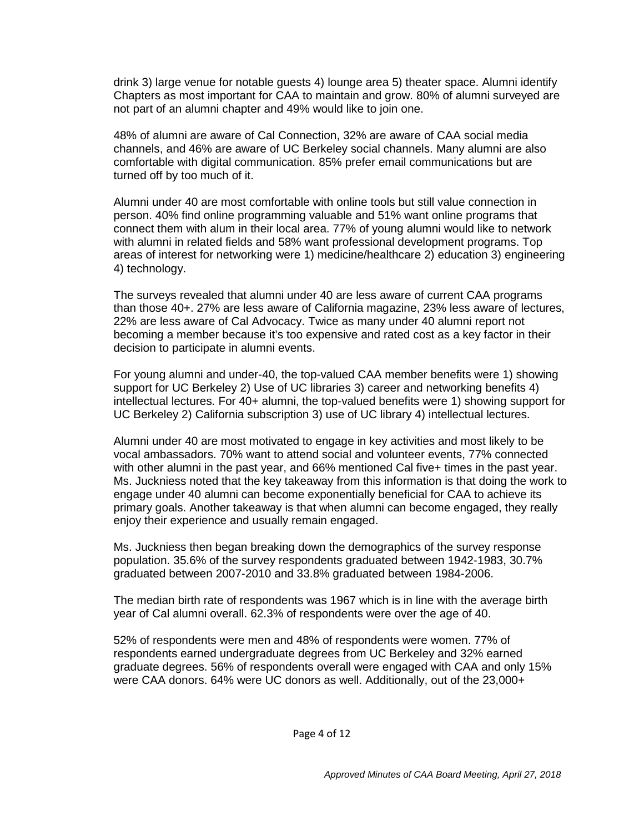drink 3) large venue for notable guests 4) lounge area 5) theater space. Alumni identify Chapters as most important for CAA to maintain and grow. 80% of alumni surveyed are not part of an alumni chapter and 49% would like to join one.

48% of alumni are aware of Cal Connection, 32% are aware of CAA social media channels, and 46% are aware of UC Berkeley social channels. Many alumni are also comfortable with digital communication. 85% prefer email communications but are turned off by too much of it.

Alumni under 40 are most comfortable with online tools but still value connection in person. 40% find online programming valuable and 51% want online programs that connect them with alum in their local area. 77% of young alumni would like to network with alumni in related fields and 58% want professional development programs. Top areas of interest for networking were 1) medicine/healthcare 2) education 3) engineering 4) technology.

The surveys revealed that alumni under 40 are less aware of current CAA programs than those 40+. 27% are less aware of California magazine, 23% less aware of lectures, 22% are less aware of Cal Advocacy. Twice as many under 40 alumni report not becoming a member because it's too expensive and rated cost as a key factor in their decision to participate in alumni events.

For young alumni and under-40, the top-valued CAA member benefits were 1) showing support for UC Berkeley 2) Use of UC libraries 3) career and networking benefits 4) intellectual lectures. For 40+ alumni, the top-valued benefits were 1) showing support for UC Berkeley 2) California subscription 3) use of UC library 4) intellectual lectures.

Alumni under 40 are most motivated to engage in key activities and most likely to be vocal ambassadors. 70% want to attend social and volunteer events, 77% connected with other alumni in the past year, and 66% mentioned Cal five+ times in the past year. Ms. Juckniess noted that the key takeaway from this information is that doing the work to engage under 40 alumni can become exponentially beneficial for CAA to achieve its primary goals. Another takeaway is that when alumni can become engaged, they really enjoy their experience and usually remain engaged.

Ms. Juckniess then began breaking down the demographics of the survey response population. 35.6% of the survey respondents graduated between 1942-1983, 30.7% graduated between 2007-2010 and 33.8% graduated between 1984-2006.

The median birth rate of respondents was 1967 which is in line with the average birth year of Cal alumni overall. 62.3% of respondents were over the age of 40.

52% of respondents were men and 48% of respondents were women. 77% of respondents earned undergraduate degrees from UC Berkeley and 32% earned graduate degrees. 56% of respondents overall were engaged with CAA and only 15% were CAA donors. 64% were UC donors as well. Additionally, out of the 23,000+

Page 4 of 12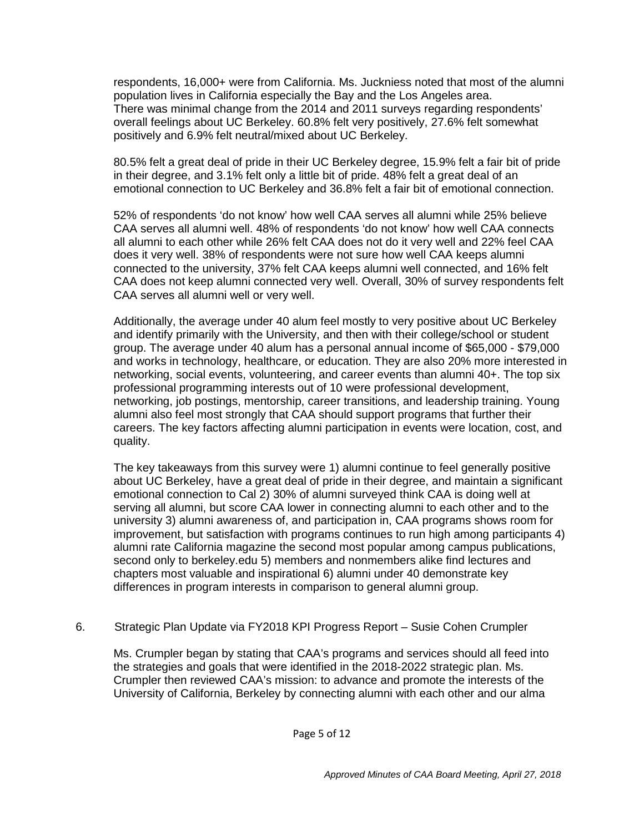respondents, 16,000+ were from California. Ms. Juckniess noted that most of the alumni population lives in California especially the Bay and the Los Angeles area. There was minimal change from the 2014 and 2011 surveys regarding respondents' overall feelings about UC Berkeley. 60.8% felt very positively, 27.6% felt somewhat positively and 6.9% felt neutral/mixed about UC Berkeley.

80.5% felt a great deal of pride in their UC Berkeley degree, 15.9% felt a fair bit of pride in their degree, and 3.1% felt only a little bit of pride. 48% felt a great deal of an emotional connection to UC Berkeley and 36.8% felt a fair bit of emotional connection.

52% of respondents 'do not know' how well CAA serves all alumni while 25% believe CAA serves all alumni well. 48% of respondents 'do not know' how well CAA connects all alumni to each other while 26% felt CAA does not do it very well and 22% feel CAA does it very well. 38% of respondents were not sure how well CAA keeps alumni connected to the university, 37% felt CAA keeps alumni well connected, and 16% felt CAA does not keep alumni connected very well. Overall, 30% of survey respondents felt CAA serves all alumni well or very well.

Additionally, the average under 40 alum feel mostly to very positive about UC Berkeley and identify primarily with the University, and then with their college/school or student group. The average under 40 alum has a personal annual income of \$65,000 - \$79,000 and works in technology, healthcare, or education. They are also 20% more interested in networking, social events, volunteering, and career events than alumni 40+. The top six professional programming interests out of 10 were professional development, networking, job postings, mentorship, career transitions, and leadership training. Young alumni also feel most strongly that CAA should support programs that further their careers. The key factors affecting alumni participation in events were location, cost, and quality.

The key takeaways from this survey were 1) alumni continue to feel generally positive about UC Berkeley, have a great deal of pride in their degree, and maintain a significant emotional connection to Cal 2) 30% of alumni surveyed think CAA is doing well at serving all alumni, but score CAA lower in connecting alumni to each other and to the university 3) alumni awareness of, and participation in, CAA programs shows room for improvement, but satisfaction with programs continues to run high among participants 4) alumni rate California magazine the second most popular among campus publications, second only to berkeley.edu 5) members and nonmembers alike find lectures and chapters most valuable and inspirational 6) alumni under 40 demonstrate key differences in program interests in comparison to general alumni group.

6. Strategic Plan Update via FY2018 KPI Progress Report – Susie Cohen Crumpler

Ms. Crumpler began by stating that CAA's programs and services should all feed into the strategies and goals that were identified in the 2018-2022 strategic plan. Ms. Crumpler then reviewed CAA's mission: to advance and promote the interests of the University of California, Berkeley by connecting alumni with each other and our alma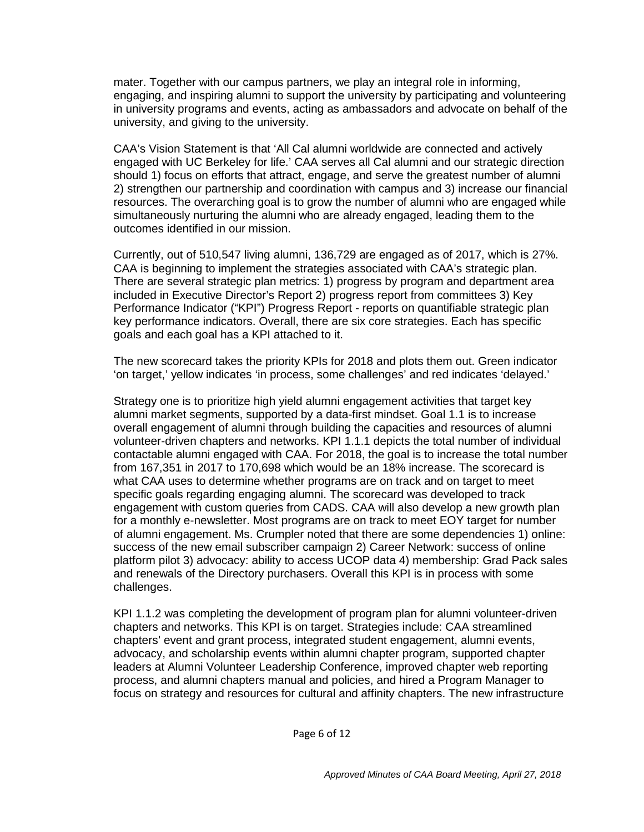mater. Together with our campus partners, we play an integral role in informing, engaging, and inspiring alumni to support the university by participating and volunteering in university programs and events, acting as ambassadors and advocate on behalf of the university, and giving to the university.

CAA's Vision Statement is that 'All Cal alumni worldwide are connected and actively engaged with UC Berkeley for life.' CAA serves all Cal alumni and our strategic direction should 1) focus on efforts that attract, engage, and serve the greatest number of alumni 2) strengthen our partnership and coordination with campus and 3) increase our financial resources. The overarching goal is to grow the number of alumni who are engaged while simultaneously nurturing the alumni who are already engaged, leading them to the outcomes identified in our mission.

Currently, out of 510,547 living alumni, 136,729 are engaged as of 2017, which is 27%. CAA is beginning to implement the strategies associated with CAA's strategic plan. There are several strategic plan metrics: 1) progress by program and department area included in Executive Director's Report 2) progress report from committees 3) Key Performance Indicator ("KPI") Progress Report - reports on quantifiable strategic plan key performance indicators. Overall, there are six core strategies. Each has specific goals and each goal has a KPI attached to it.

The new scorecard takes the priority KPIs for 2018 and plots them out. Green indicator 'on target,' yellow indicates 'in process, some challenges' and red indicates 'delayed.'

Strategy one is to prioritize high yield alumni engagement activities that target key alumni market segments, supported by a data-first mindset. Goal 1.1 is to increase overall engagement of alumni through building the capacities and resources of alumni volunteer-driven chapters and networks. KPI 1.1.1 depicts the total number of individual contactable alumni engaged with CAA. For 2018, the goal is to increase the total number from 167,351 in 2017 to 170,698 which would be an 18% increase. The scorecard is what CAA uses to determine whether programs are on track and on target to meet specific goals regarding engaging alumni. The scorecard was developed to track engagement with custom queries from CADS. CAA will also develop a new growth plan for a monthly e-newsletter. Most programs are on track to meet EOY target for number of alumni engagement. Ms. Crumpler noted that there are some dependencies 1) online: success of the new email subscriber campaign 2) Career Network: success of online platform pilot 3) advocacy: ability to access UCOP data 4) membership: Grad Pack sales and renewals of the Directory purchasers. Overall this KPI is in process with some challenges.

KPI 1.1.2 was completing the development of program plan for alumni volunteer-driven chapters and networks. This KPI is on target. Strategies include: CAA streamlined chapters' event and grant process, integrated student engagement, alumni events, advocacy, and scholarship events within alumni chapter program, supported chapter leaders at Alumni Volunteer Leadership Conference, improved chapter web reporting process, and alumni chapters manual and policies, and hired a Program Manager to focus on strategy and resources for cultural and affinity chapters. The new infrastructure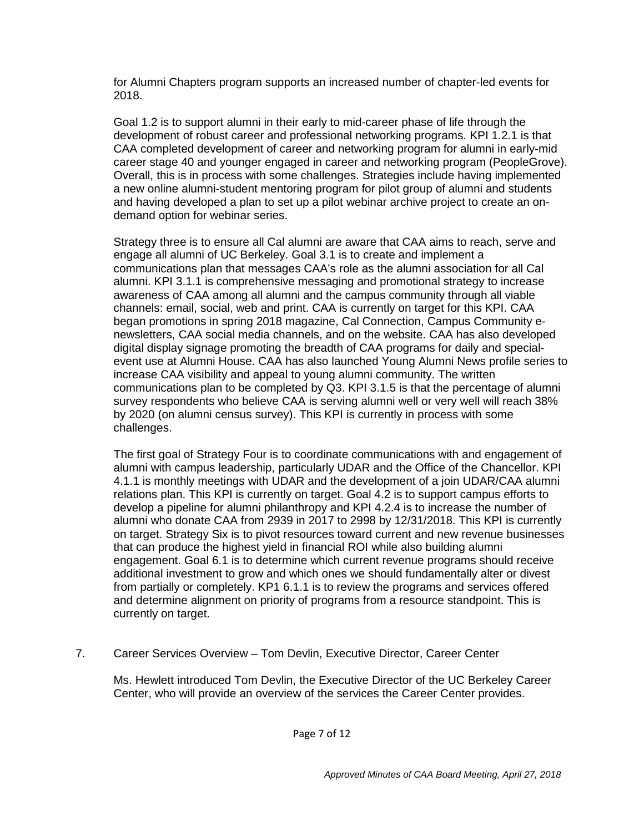for Alumni Chapters program supports an increased number of chapter-led events for 2018.

Goal 1.2 is to support alumni in their early to mid-career phase of life through the development of robust career and professional networking programs. KPI 1.2.1 is that CAA completed development of career and networking program for alumni in early-mid career stage 40 and younger engaged in career and networking program (PeopleGrove). Overall, this is in process with some challenges. Strategies include having implemented a new online alumni-student mentoring program for pilot group of alumni and students and having developed a plan to set up a pilot webinar archive project to create an ondemand option for webinar series.

Strategy three is to ensure all Cal alumni are aware that CAA aims to reach, serve and engage all alumni of UC Berkeley. Goal 3.1 is to create and implement a communications plan that messages CAA's role as the alumni association for all Cal alumni. KPI 3.1.1 is comprehensive messaging and promotional strategy to increase awareness of CAA among all alumni and the campus community through all viable channels: email, social, web and print. CAA is currently on target for this KPI. CAA began promotions in spring 2018 magazine, Cal Connection, Campus Community enewsletters, CAA social media channels, and on the website. CAA has also developed digital display signage promoting the breadth of CAA programs for daily and specialevent use at Alumni House. CAA has also launched Young Alumni News profile series to increase CAA visibility and appeal to young alumni community. The written communications plan to be completed by Q3. KPI 3.1.5 is that the percentage of alumni survey respondents who believe CAA is serving alumni well or very well will reach 38% by 2020 (on alumni census survey). This KPI is currently in process with some challenges.

The first goal of Strategy Four is to coordinate communications with and engagement of alumni with campus leadership, particularly UDAR and the Office of the Chancellor. KPI 4.1.1 is monthly meetings with UDAR and the development of a join UDAR/CAA alumni relations plan. This KPI is currently on target. Goal 4.2 is to support campus efforts to develop a pipeline for alumni philanthropy and KPI 4.2.4 is to increase the number of alumni who donate CAA from 2939 in 2017 to 2998 by 12/31/2018. This KPI is currently on target. Strategy Six is to pivot resources toward current and new revenue businesses that can produce the highest yield in financial ROI while also building alumni engagement. Goal 6.1 is to determine which current revenue programs should receive additional investment to grow and which ones we should fundamentally alter or divest from partially or completely. KP1 6.1.1 is to review the programs and services offered and determine alignment on priority of programs from a resource standpoint. This is currently on target.

7. Career Services Overview – Tom Devlin, Executive Director, Career Center

Ms. Hewlett introduced Tom Devlin, the Executive Director of the UC Berkeley Career Center, who will provide an overview of the services the Career Center provides.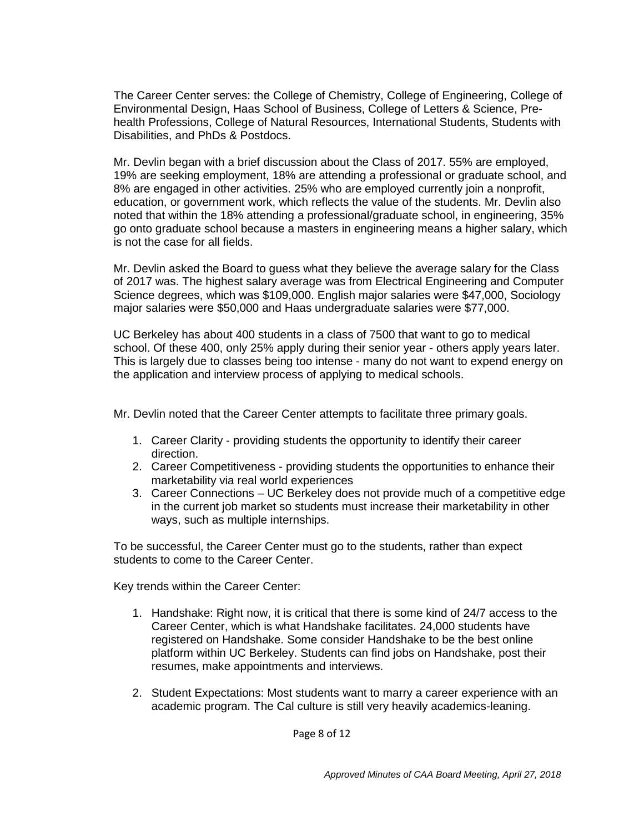The Career Center serves: the College of Chemistry, College of Engineering, College of Environmental Design, Haas School of Business, College of Letters & Science, Prehealth Professions, College of Natural Resources, International Students, Students with Disabilities, and PhDs & Postdocs.

Mr. Devlin began with a brief discussion about the Class of 2017. 55% are employed, 19% are seeking employment, 18% are attending a professional or graduate school, and 8% are engaged in other activities. 25% who are employed currently join a nonprofit, education, or government work, which reflects the value of the students. Mr. Devlin also noted that within the 18% attending a professional/graduate school, in engineering, 35% go onto graduate school because a masters in engineering means a higher salary, which is not the case for all fields.

Mr. Devlin asked the Board to guess what they believe the average salary for the Class of 2017 was. The highest salary average was from Electrical Engineering and Computer Science degrees, which was \$109,000. English major salaries were \$47,000, Sociology major salaries were \$50,000 and Haas undergraduate salaries were \$77,000.

UC Berkeley has about 400 students in a class of 7500 that want to go to medical school. Of these 400, only 25% apply during their senior year - others apply years later. This is largely due to classes being too intense - many do not want to expend energy on the application and interview process of applying to medical schools.

Mr. Devlin noted that the Career Center attempts to facilitate three primary goals.

- 1. Career Clarity providing students the opportunity to identify their career direction.
- 2. Career Competitiveness providing students the opportunities to enhance their marketability via real world experiences
- 3. Career Connections UC Berkeley does not provide much of a competitive edge in the current job market so students must increase their marketability in other ways, such as multiple internships.

To be successful, the Career Center must go to the students, rather than expect students to come to the Career Center.

Key trends within the Career Center:

- 1. Handshake: Right now, it is critical that there is some kind of 24/7 access to the Career Center, which is what Handshake facilitates. 24,000 students have registered on Handshake. Some consider Handshake to be the best online platform within UC Berkeley. Students can find jobs on Handshake, post their resumes, make appointments and interviews.
- 2. Student Expectations: Most students want to marry a career experience with an academic program. The Cal culture is still very heavily academics-leaning.

Page 8 of 12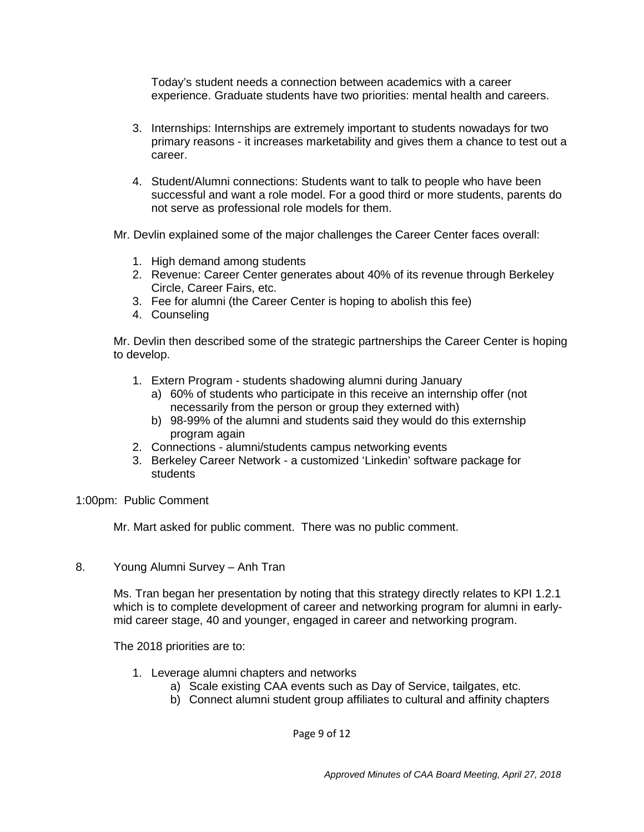Today's student needs a connection between academics with a career experience. Graduate students have two priorities: mental health and careers.

- 3. Internships: Internships are extremely important to students nowadays for two primary reasons - it increases marketability and gives them a chance to test out a career.
- 4. Student/Alumni connections: Students want to talk to people who have been successful and want a role model. For a good third or more students, parents do not serve as professional role models for them.
- Mr. Devlin explained some of the major challenges the Career Center faces overall:
	- 1. High demand among students
	- 2. Revenue: Career Center generates about 40% of its revenue through Berkeley Circle, Career Fairs, etc.
	- 3. Fee for alumni (the Career Center is hoping to abolish this fee)
	- 4. Counseling

Mr. Devlin then described some of the strategic partnerships the Career Center is hoping to develop.

- 1. Extern Program students shadowing alumni during January
	- a) 60% of students who participate in this receive an internship offer (not necessarily from the person or group they externed with)
	- b) 98-99% of the alumni and students said they would do this externship program again
- 2. Connections alumni/students campus networking events
- 3. Berkeley Career Network a customized 'Linkedin' software package for students
- 1:00pm: Public Comment

Mr. Mart asked for public comment. There was no public comment.

8. Young Alumni Survey – Anh Tran

Ms. Tran began her presentation by noting that this strategy directly relates to KPI 1.2.1 which is to complete development of career and networking program for alumni in earlymid career stage, 40 and younger, engaged in career and networking program.

The 2018 priorities are to:

- 1. Leverage alumni chapters and networks
	- a) Scale existing CAA events such as Day of Service, tailgates, etc.
	- b) Connect alumni student group affiliates to cultural and affinity chapters

Page 9 of 12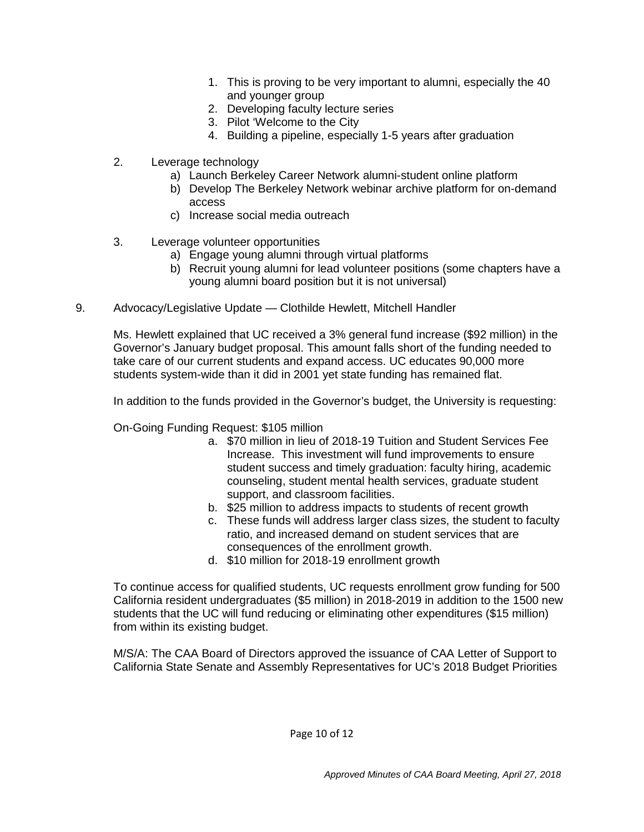- 1. This is proving to be very important to alumni, especially the 40 and younger group
- 2. Developing faculty lecture series
- 3. Pilot 'Welcome to the City
- 4. Building a pipeline, especially 1-5 years after graduation
- 2. Leverage technology
	- a) Launch Berkeley Career Network alumni-student online platform
	- b) Develop The Berkeley Network webinar archive platform for on-demand access
	- c) Increase social media outreach
- 3. Leverage volunteer opportunities
	- a) Engage young alumni through virtual platforms
	- b) Recruit young alumni for lead volunteer positions (some chapters have a young alumni board position but it is not universal)
- 9. Advocacy/Legislative Update Clothilde Hewlett, Mitchell Handler

Ms. Hewlett explained that UC received a 3% general fund increase (\$92 million) in the Governor's January budget proposal. This amount falls short of the funding needed to take care of our current students and expand access. UC educates 90,000 more students system-wide than it did in 2001 yet state funding has remained flat.

In addition to the funds provided in the Governor's budget, the University is requesting:

On-Going Funding Request: \$105 million

- a. \$70 million in lieu of 2018-19 Tuition and Student Services Fee Increase. This investment will fund improvements to ensure student success and timely graduation: faculty hiring, academic counseling, student mental health services, graduate student support, and classroom facilities.
- b. \$25 million to address impacts to students of recent growth
- c. These funds will address larger class sizes, the student to faculty ratio, and increased demand on student services that are consequences of the enrollment growth.
- d. \$10 million for 2018-19 enrollment growth

To continue access for qualified students, UC requests enrollment grow funding for 500 California resident undergraduates (\$5 million) in 2018-2019 in addition to the 1500 new students that the UC will fund reducing or eliminating other expenditures (\$15 million) from within its existing budget.

M/S/A: The CAA Board of Directors approved the issuance of CAA Letter of Support to California State Senate and Assembly Representatives for UC's 2018 Budget Priorities

Page 10 of 12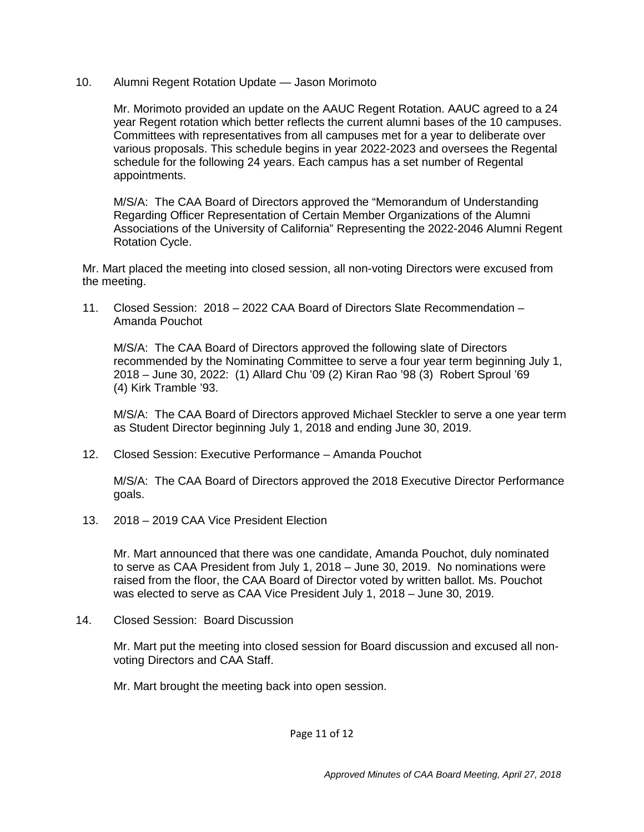10. Alumni Regent Rotation Update — Jason Morimoto

Mr. Morimoto provided an update on the AAUC Regent Rotation. AAUC agreed to a 24 year Regent rotation which better reflects the current alumni bases of the 10 campuses. Committees with representatives from all campuses met for a year to deliberate over various proposals. This schedule begins in year 2022-2023 and oversees the Regental schedule for the following 24 years. Each campus has a set number of Regental appointments.

M/S/A: The CAA Board of Directors approved the "Memorandum of Understanding Regarding Officer Representation of Certain Member Organizations of the Alumni Associations of the University of California" Representing the 2022-2046 Alumni Regent Rotation Cycle.

Mr. Mart placed the meeting into closed session, all non-voting Directors were excused from the meeting.

11. Closed Session: 2018 – 2022 CAA Board of Directors Slate Recommendation – Amanda Pouchot

M/S/A: The CAA Board of Directors approved the following slate of Directors recommended by the Nominating Committee to serve a four year term beginning July 1, 2018 – June 30, 2022: (1) Allard Chu '09 (2) Kiran Rao '98 (3) Robert Sproul '69 (4) Kirk Tramble '93.

M/S/A: The CAA Board of Directors approved Michael Steckler to serve a one year term as Student Director beginning July 1, 2018 and ending June 30, 2019.

12. Closed Session: Executive Performance – Amanda Pouchot

M/S/A: The CAA Board of Directors approved the 2018 Executive Director Performance goals.

13. 2018 – 2019 CAA Vice President Election

Mr. Mart announced that there was one candidate, Amanda Pouchot, duly nominated to serve as CAA President from July 1, 2018 – June 30, 2019. No nominations were raised from the floor, the CAA Board of Director voted by written ballot. Ms. Pouchot was elected to serve as CAA Vice President July 1, 2018 – June 30, 2019.

14. Closed Session: Board Discussion

Mr. Mart put the meeting into closed session for Board discussion and excused all nonvoting Directors and CAA Staff.

Mr. Mart brought the meeting back into open session.

Page 11 of 12